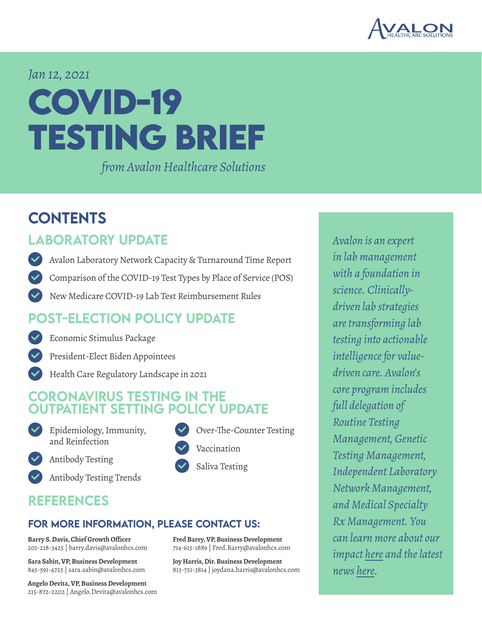

# *Jan 12, 2021* **COVID-19 TESTING BRIEF**

*from Avalon Healthcare Solutions*

#### **CONTENTS**

#### **ABORATORY UPDATE**

- [Avalon Laboratory Network Capacity & Turnaround Time Report](#page-1-0)
- [Comparison of the COVID-19 Test Types by Place of Service \(POS\)](#page-2-0)
- [New Medicare COVID-19 Lab Test Reimbursement Rules](#page-3-0)

#### [post-election policy update](#page-4-0)

- [Economic Stimulus Package](#page-4-0)
- [President-Elect Biden Appointees](#page-5-0)
- [Health Care Regulatory Landscape in 2021](#page-6-0)

#### CORONAVIRUS TESTING IN THE UTPATIENT SETTING POLICY UPDATE

- 
- [Epidemiology, Immunity,](#page-7-0)  and Reinfection



[Antibody Testing](#page-8-0)



#### [references](#page-12-0)

#### for more information, please contact us:

**Barry S. Davis, Chief Growth Officer** 201-218-3425 | barry.davis@avalonhcs.com

**Sara Sabin, VP, Business Development** 845-591-4725 | sara.sabin@avalonhcs.com

**Angelo Devita, VP, Business Development** 215-872-2202 | Angelo.Devita@avalonhcs.com

- [Over-The-Counter](#page-10-0) Testing [Vaccination](#page-10-0)
- [Saliva Testing](#page-11-0)

**Fred Barry, VP, Business Development** 714-615-1889 | Fred.Barry@avalonhcs.com

**Joy Harris, Dir. Business Development** 813-751-3814 | joydana.harris@avalonhcs.com

*Avalon is an expert in lab management with a foundation in science. Clinicallydriven lab strategies are transforming lab testing into actionable intelligence for valuedriven care. Avalon's core program includes full delegation of Routine Testing Management, Genetic Testing Management, Independent Laboratory Network Management, and Medical Specialty Rx Management. You can learn more about our impact [here](https://www.avalonhcs.com/customers/index.html) and the latest news [here.](https://www.avalonhcs.com/company/index.html)*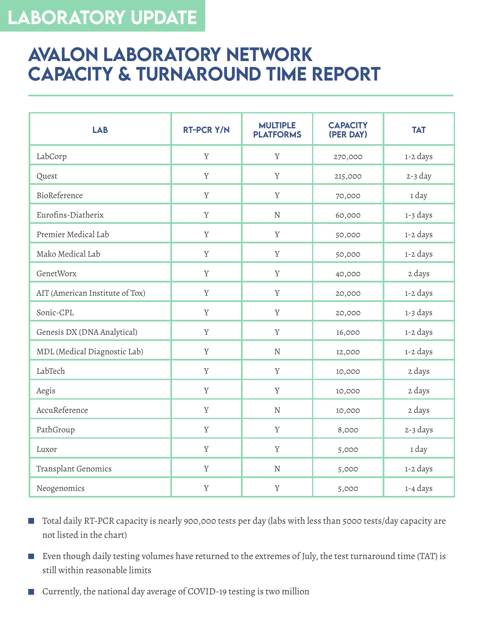### <span id="page-1-0"></span>LABORATORY UPDATE

#### **AVALON LABORATORY NETWORK** Capacity & Turnaround Time Report

| <b>LAB</b>                      | <b>RT-PCR Y/N</b> | <b>MULTIPLE</b><br><b>PLATFORMS</b> | <b>CAPACITY</b><br>(PER DAY) | <b>TAT</b> |
|---------------------------------|-------------------|-------------------------------------|------------------------------|------------|
| LabCorp                         | $\rm Y$           | $\mathbf Y$                         | 270,000                      | 1-2 days   |
| Quest                           | $\mathbf Y$       | Y                                   | 215,000                      | $2-3$ day  |
| BioReference                    | $\rm Y$           | $\mathbf Y$                         | 70,000                       | 1 day      |
| Eurofins-Diatherix              | $\rm Y$           | $\mathbf N$                         | 60,000                       | 1-3 days   |
| Premier Medical Lab             | $\rm Y$           | $\mathbf Y$                         | 50,000                       | 1-2 days   |
| Mako Medical Lab                | $\rm Y$           | $\mathbf Y$                         | 50,000                       | 1-2 days   |
| GenetWorx                       | $\mathbf Y$       | $\mathbf Y$                         | 40,000                       | 2 days     |
| AIT (American Institute of Tox) | $\mathbf Y$       | $\mathbf Y$                         | 20,000                       | 1-2 days   |
| Sonic-CPL                       | $\mathbf Y$       | $\mathbf Y$                         | 20,000                       | 1-3 days   |
| Genesis DX (DNA Analytical)     | $\mathbf Y$       | $\mathbf Y$                         | 16,000                       | 1-2 days   |
| MDL (Medical Diagnostic Lab)    | Y                 | $\mathbf N$                         | 12,000                       | 1-2 days   |
| LabTech                         | $\rm Y$           | $\mathbf Y$                         | 10,000                       | 2 days     |
| Aegis                           | $\rm Y$           | $\mathbf Y$                         | 10,000                       | 2 days     |
| AccuReference                   | $\mathbf Y$       | $\mathbf N$                         | 10,000                       | 2 days     |
| PathGroup                       | $\rm Y$           | $\mathbf Y$                         | 8,000                        | 2-3 days   |
| Luxor                           | $\mathbf Y$       | $\mathbf Y$                         | 5,000                        | 1 day      |
| Transplant Genomics             | $\mathbf Y$       | ${\bf N}$                           | 5,000                        | 1-2 days   |
| Neogenomics                     | $\mathbf Y$       | $\mathbf Y$                         | 5,000                        | 1-4 days   |

- Total daily RT-PCR capacity is nearly 900,000 tests per day (labs with less than 5000 tests/day capacity are  $\mathbb{R}^n$ not listed in the chart)
- Even though daily testing volumes have returned to the extremes of July, the test turnaround time (TAT) is still within reasonable limits
- Currently, the national day average of COVID-19 testing is two million  $\overline{\mathbb{R}^n}$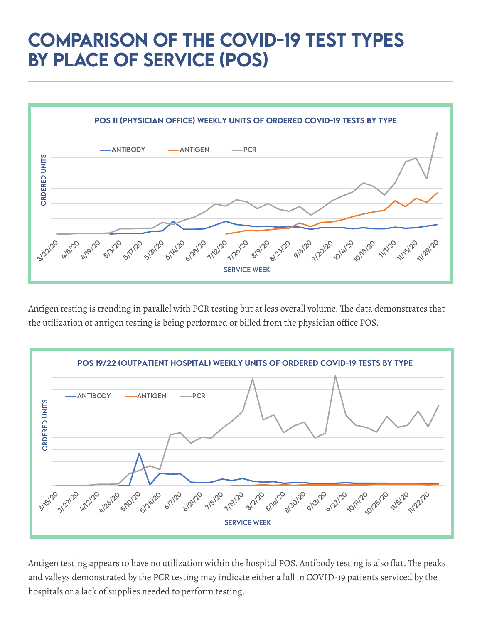### <span id="page-2-0"></span>Comparison of the COVID-19 Test Types by Place of Service (POS)



Antigen testing is trending in parallel with PCR testing but at less overall volume. The data demonstrates that the utilization of antigen testing is being performed or billed from the physician office POS.



Antigen testing appears to have no utilization within the hospital POS. Antibody testing is also flat. The peaks and valleys demonstrated by the PCR testing may indicate either a lull in COVID-19 patients serviced by the hospitals or a lack of supplies needed to perform testing.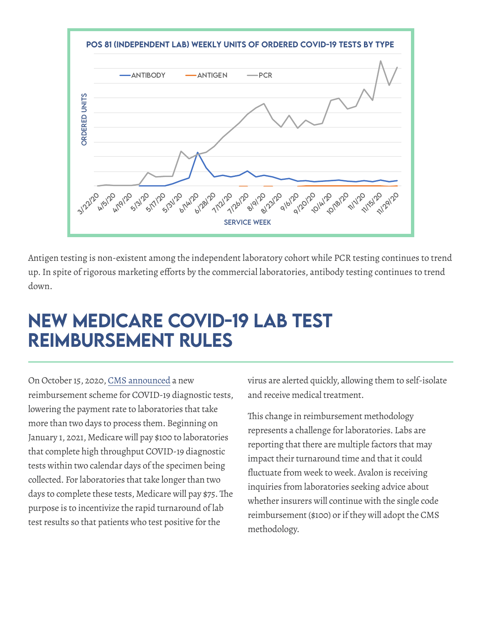<span id="page-3-0"></span>

Antigen testing is non-existent among the independent laboratory cohort while PCR testing continues to trend up.In spite of rigorous marketing efforts by the commercial laboratories, antibody testing continues to trend down.

### New Medicare COVID-19 Lab Test Reimbursement Rules

On October 15, 2020, [CMS announced](https://www.cms.gov/newsroom/press-releases/cms-changes-medicare-payment-support-faster-covid-19-diagnostic-testing) a new reimbursement scheme for COVID-19 diagnostic tests, lowering the payment rate to laboratories that take more than two days to process them. Beginning on January 1, 2021, Medicare will pay \$100 to laboratories that complete high throughput COVID-19 diagnostic tests within two calendar days of the specimen being collected. For laboratories that take longer than two days to complete these tests, Medicare will pay \$75.The purpose is to incentivize the rapid turnaround of lab test results so that patients who test positive for the

virus are alerted quickly, allowing them to self-isolate and receive medical treatment.

This change in reimbursement methodology represents a challenge for laboratories. Labs are reporting that there are multiple factors that may impact their turnaround time and that it could fluctuate from week to week. Avalon is receiving inquiries from laboratories seeking advice about whether insurers will continue with the single code reimbursement (\$100) or if they will adopt the CMS methodology.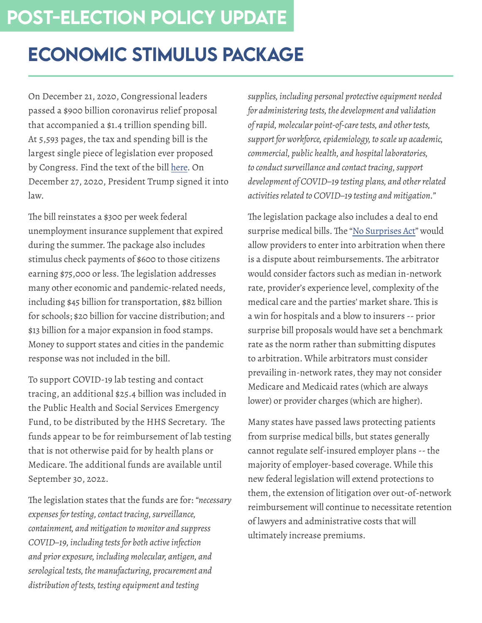# <span id="page-4-0"></span>Economic Stimulus Package

On December 21, 2020, Congressional leaders passed a \$900 billion coronavirus relief proposal that accompanied a \$1.4 trillion spending bill. At 5,593 pages, the tax and spending bill is the largest single piece of legislation ever proposed by Congress. Find the text of the bill [here.](https://www.washingtonpost.com/us-policy/2020/covid-relief-bill-full-text/?arc404=true) On December 27, 2020, President Trump signed it into law.

The bill reinstates a \$300 per week federal unemployment insurance supplement that expired during the summer. The package also includes stimulus check payments of \$600 to those citizens earning \$75,000 or less. The legislation addresses many other economic and pandemic-related needs, including \$45 billion for transportation, \$82 billion for schools; \$20 billion for vaccine distribution; and \$13 billion for a major expansion in food stamps. Money to support states and cities in the pandemic response was not included in the bill.

To support COVID-19 lab testing and contact tracing, an additional \$25.4 billion was included in the Public Health and Social Services Emergency Fund, to be distributed by the HHS Secretary. The funds appear to be for reimbursement of lab testing that is not otherwise paid for by health plans or Medicare. The additional funds are available until September 30, 2022.

The legislation states that the funds are for: *"necessary expenses for testing, contact tracing, surveillance, containment, and mitigation to monitor and suppress COVID–19, including tests for both active infection and prior exposure, including molecular, antigen, and serological tests, the manufacturing, procurement and distribution of tests, testing equipment and testing* 

*supplies, including personal protective equipment needed for administering tests, the development and validation of rapid, molecular point-of-care tests, and other tests, support for workforce, epidemiology, to scale up academic, commercial, public health, and hospital laboratories, to conduct surveillance and contact tracing, support development of COVID–19 testing plans, and other related activities related to COVID–19 testing and mitigation."*

The legislation package also includes a deal to end surprise medical bills. The "[No Surprises Act](https://www.healthaffairs.org/do/10.1377/hblog20201217.247010/full/)" would allow providers to enter into arbitration when there is a dispute about reimbursements. The arbitrator would consider factors such as median in-network rate, provider's experience level, complexity of the medical care and the parties' market share. This is a win for hospitals and a blow to insurers -- prior surprise bill proposals would have set a benchmark rate as the norm rather than submitting disputes to arbitration. While arbitrators must consider prevailing in-network rates, they may not consider Medicare and Medicaid rates (which are always lower) or provider charges (which are higher).

Many states have passed laws protecting patients from surprise medical bills, but states generally cannot regulate self-insured employer plans -- the majority of employer-based coverage. While this new federal legislation will extend protections to them, the extension of litigation over out-of-network reimbursement will continue to necessitate retention of lawyers and administrative costs that will ultimately increase premiums.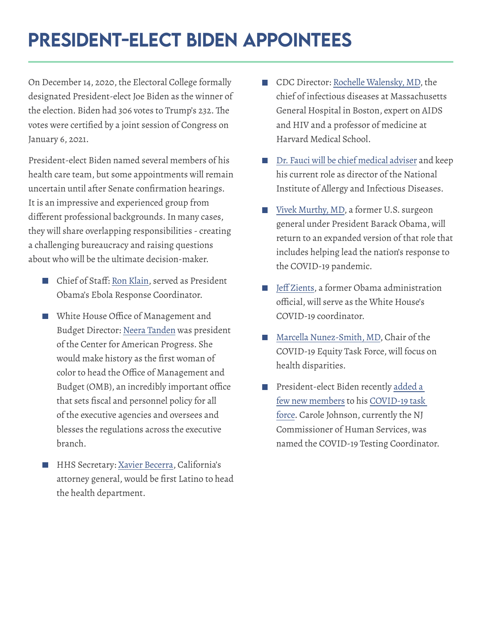# <span id="page-5-0"></span>President-Elect Biden Appointees

On December 14, 2020, the Electoral College formally designated President-elect Joe Biden as the winner of the election. Biden had 306 votes to Trump's 232. The votes were certified by a joint session of Congress on January 6, 2021.

President-elect Biden named several members of his health care team, but some appointments will remain uncertain until after Senate confirmation hearings. It is an impressive and experienced group from different professional backgrounds. In many cases, they will share overlapping responsibilities - creating a challenging bureaucracy and raising questions about who will be the ultimate decision-maker.

- Chief of Staff: [Ron Klain,](https://www.theatlantic.com/newsletters/archive/2020/12/ron-klain-joe-biden-donald-trump/617411/) served as President Obama's Ebola Response Coordinator.
- White House Office of Management and Budget Director: [Neera Tanden](https://www.npr.org/sections/biden-transition-updates/2020/12/03/941597232/why-biden-budget-pick-neera-tanden-already-faces-republican-opposition) was president of the Center for American Progress. She would make history as the first woman of color to head the Office of Management and Budget (OMB), an incredibly important office that sets fiscal and personnel policy for all of the executive agencies and oversees and blesses the regulations across the executive branch.
- HHS Secretary: [Xavier Becerra,](https://www.nytimes.com/2020/12/08/us/xavier-becerra-hhs.html) California's attorney general, would be first Latino to head the health department.
- CDC Director: [Rochelle Walensky, MD](https://www.npr.org/sections/biden-transition-updates/2020/12/07/943871894/biden-names-massachusetts-doctor-to-lead-cdc), the chief of infectious diseases at Massachusetts General Hospital in Boston, expert on AIDS and HIV and a professor of medicine at Harvard Medical School.
- [Dr. Fauci will be chief medical adviser](https://www.cnn.com/2020/12/03/politics/biden-harris-interview-jake-tapper/index.html) and keep his current role as director of the National Institute of Allergy and Infectious Diseases.
- [Vivek Murthy, MD,](https://www.medscape.com/viewarticle/942165) a former U.S. surgeon general under President Barack Obama, will return to an expanded version of that role that includes helping lead the nation's response to the COVID-19 pandemic.
- [Jeff Zients](https://www.politico.com/news/2020/12/03/zients-murthy-biden-coronavirus-team-442609), a former Obama administration official, will serve as the White House's COVID-19 coordinator.
- [Marcella Nunez-Smith, MD](https://www.politico.com/news/2020/12/03/zients-murthy-biden-coronavirus-team-442609), Chair of the COVID-19 Equity Task Force, will focus on health disparities.
- President-elect Biden recently [added a](https://www.politico.com/news/2020/12/29/biden-coronavirus-response-coordinators-451996?nname=playbook&nid=0000014f-1646-d88f-a1cf-5f46b7bd0000&nrid=0000014e-f114-dd93-ad7f-f915f09e0002&nlid=630318)  I. [few new members](https://www.politico.com/news/2020/12/29/biden-coronavirus-response-coordinators-451996?nname=playbook&nid=0000014f-1646-d88f-a1cf-5f46b7bd0000&nrid=0000014e-f114-dd93-ad7f-f915f09e0002&nlid=630318) to his [COVID-19 task](https://www.politico.com/news/2020/12/29/biden-coronavirus-response-coordinators-451996?nname=playbook&nid=0000014f-1646-d88f-a1cf-5f46b7bd0000&nrid=0000014e-f114-dd93-ad7f-f915f09e0002&nlid=630318)  [force.](https://www.politico.com/news/2020/12/29/biden-coronavirus-response-coordinators-451996?nname=playbook&nid=0000014f-1646-d88f-a1cf-5f46b7bd0000&nrid=0000014e-f114-dd93-ad7f-f915f09e0002&nlid=630318) Carole Johnson, currently the NJ Commissioner of Human Services, was named the COVID-19 Testing Coordinator.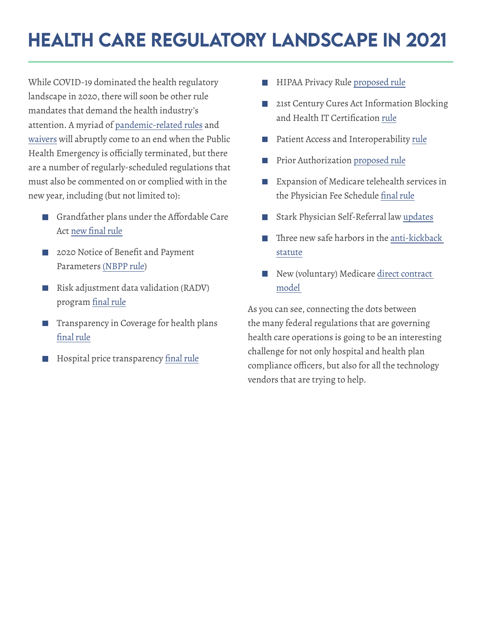# <span id="page-6-0"></span>**HEALTH CARE REGULATORY LANDSCAPE IN 2021**

While COVID-19 dominated the health regulatory landscape in 2020, there will soon be other rule mandates that demand the health industry's attention. A myriad of [pandemic-related rules](https://www.cms.gov/newsroom/fact-sheets/fourth-covid-19-interim-final-rule-comment-period-ifc-4#:~:text=In%20an%20Interim%20Final%20Rule,access%20to%20a%20lifesaving%20vaccine.&text=Establishes%20enhanced%20Medicare%20payments%20for,for%20COVID%2D19%20tests%2C%20and) and [waivers](https://www.cms.gov/files/document/summary-covid-19-emergency-declaration-waivers.pdf) will abruptly come to an end when the Public Health Emergency is officially terminated, but there are a number of regularly-scheduled regulations that must also be commented on or complied with in the new year, including (but not limited to):

- Grandfather plans under the Affordable Care Act new final rule
- 2020 Notice of Benefit and Payment **Tale** Parameters [\(NBPP rule\)](https://www.cms.gov/newsroom/press-releases/cms-proposed-rule-seeks-reduce-exchange-fees-again-lower-premiums-plans-using-federal-enrollment)
- Risk adjustment data validation (RADV) H program final rule
- Transparency in Coverage for health plans final rule
- Hospital price transparency final rule
- HIPAA Privacy Rule [proposed rule](https://www.healthcareitnews.com/news/hhs-floats-major-changes-hipaa-privacy-rule)
- 21st Century Cures Act Information Blocking and Health IT Certification [rule](https://www.healthcareitnews.com/news/hhs-publishes-final-regs-info-blocking-interoperability)
- Patient Access and Interoperability [rule](https://www.cms.gov/files/document/cms-9115-f.pdf)  $\Box$
- Prior Authorization [proposed rule](https://www.cms.gov/Regulations-and-Guidance/Guidance/Interoperability/index)
- Expansion of Medicare telehealth services in the Physician Fee Schedule final rule
- Stark Physician Self-Referral law [updates](https://www.cms.gov/newsroom/press-releases/cms-announces-historic-changes-physician-self-referral-regulations)
- Three new safe harbors in the [anti-kickback](https://public-inspection.federalregister.gov/2020-26072.pdf)  [statute](https://public-inspection.federalregister.gov/2020-26072.pdf)
- New (voluntary) Medicare direct contract [model](https://www.cms.gov/newsroom/press-releases/cms-announces-new-model-advance-regional-value-based-care-medicare)

As you can see, connecting the dots between the many federal regulations that are governing health care operations is going to be an interesting challenge for not only hospital and health plan compliance officers, but also for all the technology vendors that are trying to help.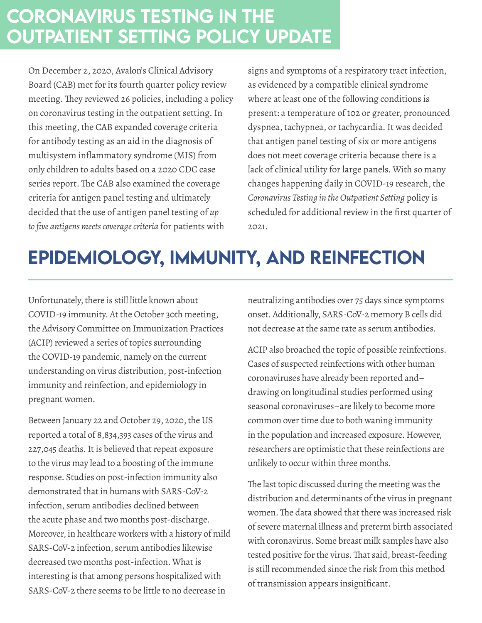### <span id="page-7-0"></span>Coronavirus Testing in the Outpatient Setting Policy Update

On December 2, 2020, Avalon's Clinical Advisory Board (CAB) met for its fourth quarter policy review meeting. They reviewed 26 policies, including a policy on coronavirus testing in the outpatient setting. In this meeting, the CAB expanded coverage criteria for antibody testing as an aid in the diagnosis of multisystem inflammatory syndrome (MIS) from only children to adults based on a 2020 CDC case series report. The CAB also examined the coverage criteria for antigen panel testing and ultimately decided that the use of antigen panel testing of *up to five antigens meets coverage criteria* for patients with

signs and symptoms of a respiratory tract infection, as evidenced by a compatible clinical syndrome where at least one of the following conditions is present: a temperature of 102 or greater, pronounced dyspnea, tachypnea, or tachycardia. It was decided that antigen panel testing of six or more antigens does not meet coverage criteria because there is a lack of clinical utility for large panels. With so many changes happening daily in COVID-19 research, the *Coronavirus Testing in the Outpatient Setting* policy is scheduled for additional review in the first quarter of 2021.

# Epidemiology, Immunity, and Reinfection

Unfortunately, there is still little known about COVID-19 immunity. At the October 30th meeting, the Advisory Committee on Immunization Practices (ACIP) reviewed a series of topics surrounding the COVID-19 pandemic, namely on the current understanding on virus distribution, post-infection immunity and reinfection, and epidemiology in pregnant women.

Between January 22 and October 29, 2020, the US reported a total of 8,834,393 cases of the virus and 227,045 deaths. It is believed that repeat exposure to the virus may lead to a boosting of the immune response. Studies on post-infection immunity also demonstrated that in humans with SARS-CoV-2 infection, serum antibodies declined between the acute phase and two months post-discharge. Moreover, in healthcare workers with a history of mild SARS-CoV-2 infection, serum antibodies likewise decreased two months post-infection. What is interesting is that among persons hospitalized with SARS-CoV-2 there seems to be little to no decrease in

neutralizing antibodies over 75 days since symptoms onset. Additionally, SARS-CoV-2 memory B cells did not decrease at the same rate as serum antibodies.

ACIP also broached the topic of possible reinfections. Cases of suspected reinfections with other human coronaviruses have already been reported and– drawing on longitudinal studies performed using seasonal coronaviruses–are likely to become more common over time due to both waning immunity in the population and increased exposure. However, researchers are optimistic that these reinfections are unlikely to occur within three months.

The last topic discussed during the meeting was the distribution and determinants of the virus in pregnant women.The data showed that there was increased risk of severe maternal illness and preterm birth associated with coronavirus. Some breast milk samples have also tested positive for the virus. That said, breast-feeding is still recommended since the risk from this method of transmission appears insignificant.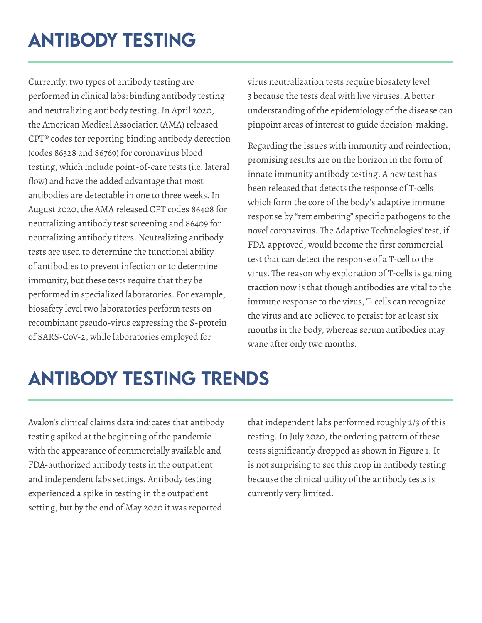# <span id="page-8-0"></span>Antibody Testing

Currently, two types of antibody testing are performed in clinical labs: binding antibody testing and neutralizing antibody testing. In April 2020, the American Medical Association (AMA) released CPT® codes for reporting binding antibody detection (codes 86328 and 86769) for coronavirus blood testing, which include point-of-care tests (i.e. lateral flow) and have the added advantage that most antibodies are detectable in one to three weeks. In August 2020, the AMA released CPT codes 86408 for neutralizing antibody test screening and 86409 for neutralizing antibody titers. Neutralizing antibody tests are used to determine the functional ability of antibodies to prevent infection or to determine immunity, but these tests require that they be performed in specialized laboratories. For example, biosafety level two laboratories perform tests on recombinant pseudo-virus expressing the S-protein of SARS-CoV-2, while laboratories employed for

virus neutralization tests require biosafety level 3 because the tests deal with live viruses. A better understanding of the epidemiology of the disease can pinpoint areas of interest to guide decision-making.

Regarding the issues with immunity and reinfection, promising results are on the horizon in the form of innate immunity antibody testing. A new test has been released that detects the response of T-cells which form the core of the body's adaptive immune response by "remembering" specific pathogens to the novel coronavirus. The Adaptive Technologies' test, if FDA-approved, would become the first commercial test that can detect the response of a T-cell to the virus. The reason why exploration of T-cells is gaining traction now is that though antibodies are vital to the immune response to the virus, T-cells can recognize the virus and are believed to persist for at least six months in the body, whereas serum antibodies may wane after only two months.

# Antibody Testing Trends

Avalon's clinical claims data indicates that antibody testing spiked at the beginning of the pandemic with the appearance of commercially available and FDA-authorized antibody tests in the outpatient and independent labs settings. Antibody testing experienced a spike in testing in the outpatient setting, but by the end of May 2020 it was reported

that independent labs performed roughly 2/3 of this testing. In July 2020, the ordering pattern of these tests significantly dropped as shown in Figure 1.It is not surprising to see this drop in antibody testing because the clinical utility of the antibody tests is currently very limited.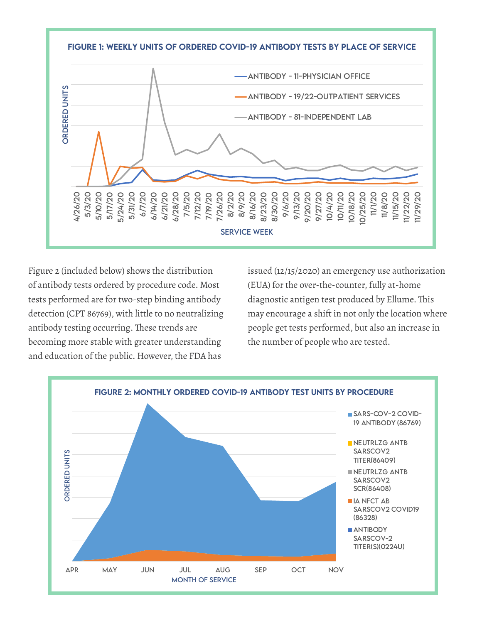

Figure 2 (included below) shows the distribution of antibody tests ordered by procedure code. Most tests performed are for two-step binding antibody detection (CPT 86769), with little to no neutralizing antibody testing occurring. These trends are becoming more stable with greater understanding and education of the public. However, the FDA has

issued (12/15/2020) an emergency use authorization (EUA) for the over-the-counter, fully at-home diagnostic antigen test produced by Ellume. This may encourage a shift in not only the location where people get tests performed, but also an increase in the number of people who are tested.

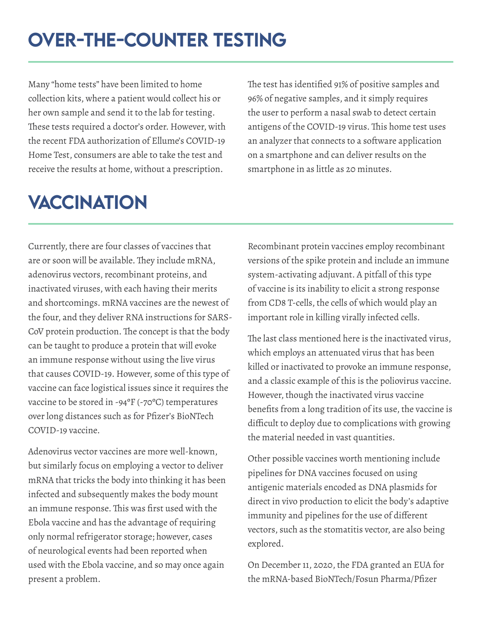# <span id="page-10-0"></span>Over-The-counter Testing

Many "home tests" have been limited to home collection kits, where a patient would collect his or her own sample and send it to the lab for testing. These tests required a doctor's order. However, with the recent FDA authorization of Ellume's COVID-19 Home Test, consumers are able to take the test and receive the results at home, without a prescription.

**VACCINATION** 

The test has identified 91% of positive samples and 96% of negative samples, and it simply requires the user to perform a nasal swab to detect certain antigens of the COVID-19 virus. This home test uses an analyzer that connects to a software application on a smartphone and can deliver results on the smartphone in as little as 20 minutes.

Currently, there are four classes of vaccines that are or soon will be available. They include mRNA, adenovirus vectors, recombinant proteins, and inactivated viruses, with each having their merits and shortcomings. mRNA vaccines are the newest of the four, and they deliver RNA instructions for SARS-CoV protein production. The concept is that the body can be taught to produce a protein that will evoke an immune response without using the live virus that causes COVID-19. However, some of this type of vaccine can face logistical issues since it requires the vaccine to be stored in -94ºF (-70ºC) temperatures over long distances such as for Pfizer's BioNTech COVID-19 vaccine.

Adenovirus vector vaccines are more well-known, but similarly focus on employing a vector to deliver mRNA that tricks the body into thinking it has been infected and subsequently makes the body mount an immune response. This was first used with the Ebola vaccine and has the advantage of requiring only normal refrigerator storage; however, cases of neurological events had been reported when used with the Ebola vaccine, and so may once again present a problem.

Recombinant protein vaccines employ recombinant versions of the spike protein and include an immune system-activating adjuvant. A pitfall of this type of vaccine is its inability to elicit a strong response from CD8 T-cells, the cells of which would play an important role in killing virally infected cells.

The last class mentioned here is the inactivated virus, which employs an attenuated virus that has been killed or inactivated to provoke an immune response, and a classic example of this is the poliovirus vaccine. However, though the inactivated virus vaccine benefits from a long tradition of its use, the vaccine is difficult to deploy due to complications with growing the material needed in vast quantities.

Other possible vaccines worth mentioning include pipelines for DNA vaccines focused on using antigenic materials encoded as DNA plasmids for direct in vivo production to elicit the body's adaptive immunity and pipelines for the use of different vectors, such as the stomatitis vector, are also being explored.

On December 11, 2020, the FDA granted an EUA for the mRNA-based BioNTech/Fosun Pharma/Pfizer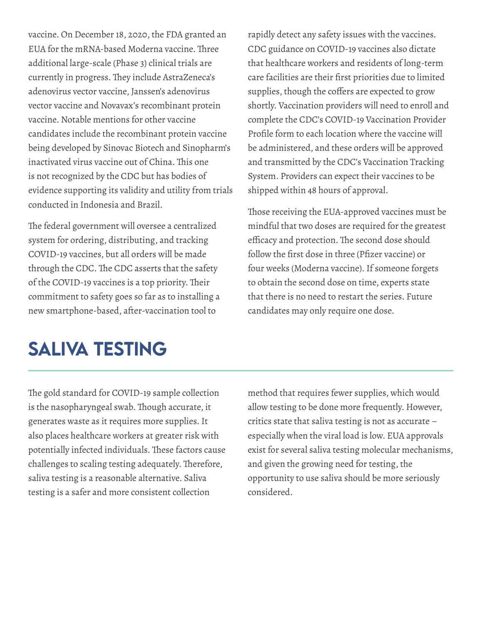<span id="page-11-0"></span>vaccine. On December 18, 2020, the FDA granted an EUA for the mRNA-based Moderna vaccine. Three additional large-scale (Phase 3) clinical trials are currently in progress. They include AstraZeneca's adenovirus vector vaccine, Janssen's adenovirus vector vaccine and Novavax's recombinant protein vaccine. Notable mentions for other vaccine candidates include the recombinant protein vaccine being developed by Sinovac Biotech and Sinopharm's inactivated virus vaccine out of China. This one is not recognized by the CDC but has bodies of evidence supporting its validity and utility from trials conducted in Indonesia and Brazil.

The federal government will oversee a centralized system for ordering, distributing, and tracking COVID-19 vaccines, but all orders will be made through the CDC. The CDC asserts that the safety of the COVID-19 vaccines is a top priority. Their commitment to safety goes so far as to installing a new smartphone-based, after-vaccination tool to

#### rapidly detect any safety issues with the vaccines. CDC guidance on COVID-19 vaccines also dictate that healthcare workers and residents of long-term care facilities are their first priorities due to limited supplies, though the coffers are expected to grow shortly. Vaccination providers will need to enroll and complete the CDC's COVID-19 Vaccination Provider Profile form to each location where the vaccine will be administered, and these orders will be approved and transmitted by the CDC's Vaccination Tracking System. Providers can expect their vaccines to be shipped within 48 hours of approval.

Those receiving the EUA-approved vaccines must be mindful that two doses are required for the greatest efficacy and protection. The second dose should follow the first dose in three (Pfizer vaccine) or four weeks (Moderna vaccine). If someone forgets to obtain the second dose on time, experts state that there is no need to restart the series. Future candidates may only require one dose.

# Saliva Testing

The gold standard for COVID-19 sample collection is the nasopharyngeal swab. Though accurate, it generates waste as it requires more supplies. It also places healthcare workers at greater risk with potentially infected individuals. These factors cause challenges to scaling testing adequately. Therefore, saliva testing is a reasonable alternative. Saliva testing is a safer and more consistent collection

method that requires fewer supplies, which would allow testing to be done more frequently. However, critics state that saliva testing is not as accurate – especially when the viral load is low. EUA approvals exist for several saliva testing molecular mechanisms, and given the growing need for testing, the opportunity to use saliva should be more seriously considered.